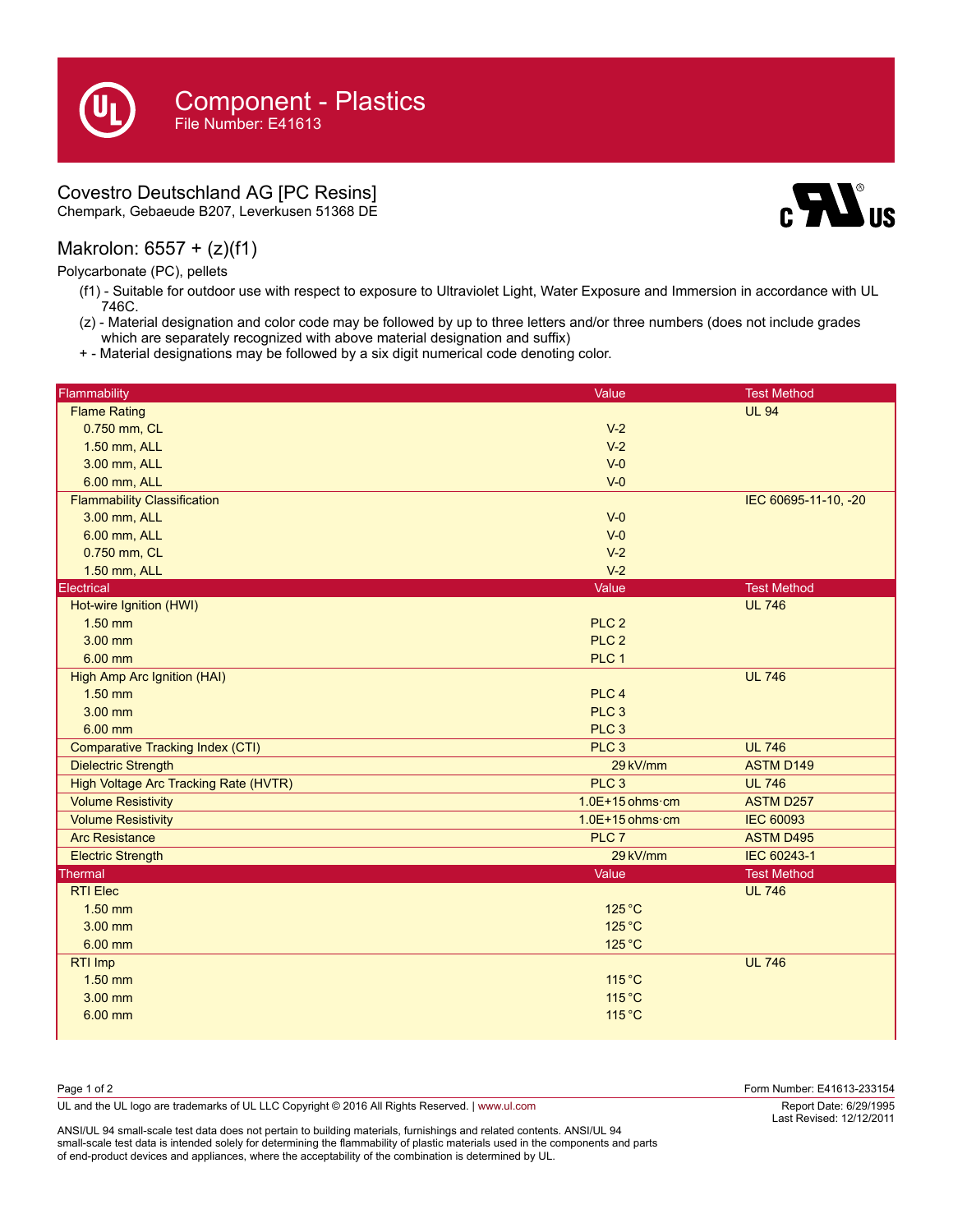## Covestro Deutschland AG [PC Resins]

Chempark, Gebaeude B207, Leverkusen 51368 DE

## Makrolon: 6557 + (z)(f1)

Polycarbonate (PC), pellets

(f1) - Suitable for outdoor use with respect to exposure to Ultraviolet Light, Water Exposure and Immersion in accordance with UL 746C.

 $\mathbf{M}$ us

- (z) Material designation and color code may be followed by up to three letters and/or three numbers (does not include grades which are separately recognized with above material designation and suffix)
- + Material designations may be followed by a six digit numerical code denoting color.

| Flammability                            | Value                     | <b>Test Method</b>   |
|-----------------------------------------|---------------------------|----------------------|
| <b>Flame Rating</b>                     |                           | <b>UL 94</b>         |
| 0.750 mm, CL                            | $V-2$                     |                      |
| 1.50 mm, ALL                            | $V-2$                     |                      |
| 3.00 mm, ALL                            | $V-0$                     |                      |
| 6.00 mm, ALL                            | $V-0$                     |                      |
| <b>Flammability Classification</b>      |                           | IEC 60695-11-10, -20 |
| 3.00 mm, ALL                            | $V-0$                     |                      |
| 6.00 mm, ALL                            | $V-0$                     |                      |
| 0.750 mm, CL                            | $V-2$                     |                      |
| 1.50 mm, ALL                            | $V-2$                     |                      |
| Electrical                              | Value                     | <b>Test Method</b>   |
| Hot-wire Ignition (HWI)                 |                           | <b>UL 746</b>        |
| $1.50$ mm                               | PLC <sub>2</sub>          |                      |
| 3.00 mm                                 | PLC <sub>2</sub>          |                      |
| 6.00 mm                                 | PLC 1                     |                      |
| <b>High Amp Arc Ignition (HAI)</b>      |                           | <b>UL 746</b>        |
| $1.50$ mm                               | PLC <sub>4</sub>          |                      |
| 3.00 mm                                 | PLC <sub>3</sub>          |                      |
| 6.00 mm                                 | PLC <sub>3</sub>          |                      |
| <b>Comparative Tracking Index (CTI)</b> | PLC <sub>3</sub>          | <b>UL 746</b>        |
| <b>Dielectric Strength</b>              | 29 kV/mm                  | <b>ASTM D149</b>     |
| High Voltage Arc Tracking Rate (HVTR)   | PLC <sub>3</sub>          | <b>UL 746</b>        |
| <b>Volume Resistivity</b>               | $1.0E+15$ ohms $\cdot$ cm | <b>ASTM D257</b>     |
| <b>Volume Resistivity</b>               | $1.0E+15$ ohms $\cdot$ cm | <b>IEC 60093</b>     |
| <b>Arc Resistance</b>                   | PLC <sub>7</sub>          | <b>ASTM D495</b>     |
| <b>Electric Strength</b>                | 29 kV/mm                  | IEC 60243-1          |
| <b>Thermal</b>                          | Value                     | <b>Test Method</b>   |
| <b>RTI Elec</b>                         |                           | <b>UL 746</b>        |
| $1.50$ mm                               | $125^{\circ}$ C           |                      |
| $3.00$ mm                               | 125 °C                    |                      |
| 6.00 mm                                 | 125 °C                    |                      |
| RTI Imp                                 |                           | <b>UL 746</b>        |
| $1.50$ mm                               | 115 °C                    |                      |
| 3.00 mm                                 | 115 °C                    |                      |
| 6.00 mm                                 | 115 °C                    |                      |
|                                         |                           |                      |

| Page 1 of 2                                                                                    | Form Number: E41613-233154                         |
|------------------------------------------------------------------------------------------------|----------------------------------------------------|
| UL and the UL logo are trademarks of UL LLC Copyright © 2016 All Rights Reserved.   www.ul.com | Report Date: 6/29/1995<br>Last Revised: 12/12/2011 |

ANSI/UL 94 small-scale test data does not pertain to building materials, furnishings and related contents. ANSI/UL 94 small-scale test data is intended solely for determining the flammability of plastic materials used in the components and parts of end-product devices and appliances, where the acceptability of the combination is determined by UL.